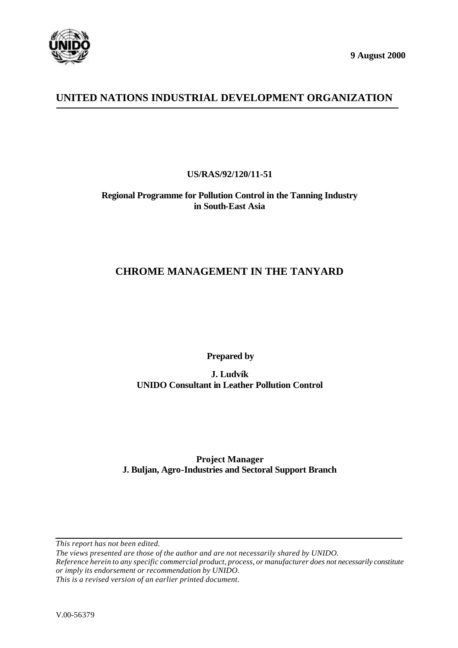

**9 August 2000**

# **UNITED NATIONS INDUSTRIAL DEVELOPMENT ORGANIZATION**

**US/RAS/92/120/11-51**

**Regional Programme for Pollution Control in the Tanning Industry in South-East Asia**

# **CHROME MANAGEMENT IN THE TANYARD**

 **Prepared by**

**J. Ludvík UNIDO Consultant in Leather Pollution Control**

**Project Manager J. Buljan, Agro-Industries and Sectoral Support Branch**

*This report has not been edited.*

*The views presented are those of the author and are not necessarily shared by UNIDO. Reference herein to any specific commercial product, process, or manufacturer does not necessarily constitute or imply its endorsement or recommendation by UNIDO.*

*This is a revised version of an earlier printed document.*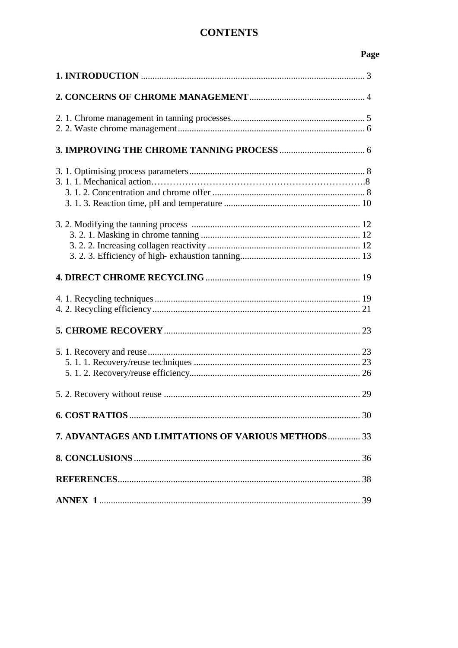# **CONTENTS**

# Page

| 29                                                  |
|-----------------------------------------------------|
|                                                     |
| 7. ADVANTAGES AND LIMITATIONS OF VARIOUS METHODS 33 |
|                                                     |
|                                                     |
|                                                     |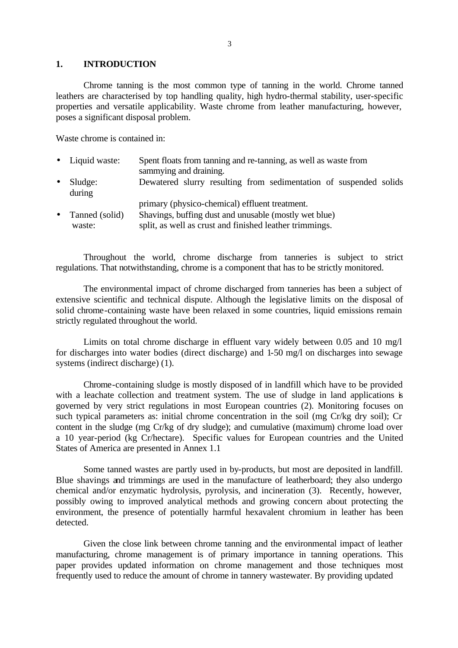#### **1. INTRODUCTION**

Chrome tanning is the most common type of tanning in the world. Chrome tanned leathers are characterised by top handling quality, high hydro-thermal stability, user-specific properties and versatile applicability. Waste chrome from leather manufacturing, however, poses a significant disposal problem.

Waste chrome is contained in:

|           | • Liquid waste:   | Spent floats from tanning and re-tanning, as well as waste from<br>sammying and draining. |
|-----------|-------------------|-------------------------------------------------------------------------------------------|
| $\bullet$ | Sludge:<br>during | Dewatered slurry resulting from sedimentation of suspended solids                         |
|           |                   | primary (physico-chemical) effluent treatment.                                            |
| $\bullet$ | Tanned (solid)    | Shavings, buffing dust and unusable (mostly wet blue)                                     |
|           | waste:            | split, as well as crust and finished leather trimmings.                                   |

Throughout the world, chrome discharge from tanneries is subject to strict regulations. That notwithstanding, chrome is a component that has to be strictly monitored.

The environmental impact of chrome discharged from tanneries has been a subject of extensive scientific and technical dispute. Although the legislative limits on the disposal of solid chrome-containing waste have been relaxed in some countries, liquid emissions remain strictly regulated throughout the world.

Limits on total chrome discharge in effluent vary widely between 0.05 and 10 mg/l for discharges into water bodies (direct discharge) and 1-50 mg/l on discharges into sewage systems (indirect discharge) (1).

Chrome-containing sludge is mostly disposed of in landfill which have to be provided with a leachate collection and treatment system. The use of sludge in land applications is governed by very strict regulations in most European countries (2). Monitoring focuses on such typical parameters as: initial chrome concentration in the soil (mg Cr/kg dry soil); Cr content in the sludge (mg Cr/kg of dry sludge); and cumulative (maximum) chrome load over a 10 year-period (kg Cr/hectare). Specific values for European countries and the United States of America are presented in Annex 1.1

Some tanned wastes are partly used in by-products, but most are deposited in landfill. Blue shavings and trimmings are used in the manufacture of leatherboard; they also undergo chemical and/or enzymatic hydrolysis, pyrolysis, and incineration (3). Recently, however, possibly owing to improved analytical methods and growing concern about protecting the environment, the presence of potentially harmful hexavalent chromium in leather has been detected.

Given the close link between chrome tanning and the environmental impact of leather manufacturing, chrome management is of primary importance in tanning operations. This paper provides updated information on chrome management and those techniques most frequently used to reduce the amount of chrome in tannery wastewater. By providing updated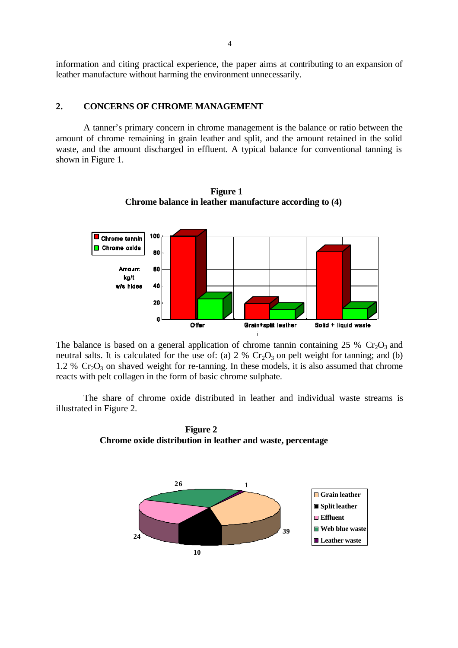information and citing practical experience, the paper aims at contributing to an expansion of leather manufacture without harming the environment unnecessarily.

### **2. CONCERNS OF CHROME MANAGEMENT**

A tanner's primary concern in chrome management is the balance or ratio between the amount of chrome remaining in grain leather and split, and the amount retained in the solid waste, and the amount discharged in effluent. A typical balance for conventional tanning is shown in Figure 1.



 **Figure 1 Chrome balance in leather manufacture according to (4)**

The balance is based on a general application of chrome tannin containing 25 %  $Cr_2O_3$  and neutral salts. It is calculated for the use of: (a)  $2\%$  Cr<sub>2</sub>O<sub>3</sub> on pelt weight for tanning; and (b) 1.2 %  $Cr_2O_3$  on shaved weight for re-tanning. In these models, it is also assumed that chrome reacts with pelt collagen in the form of basic chrome sulphate.

The share of chrome oxide distributed in leather and individual waste streams is illustrated in Figure 2.

 **Figure 2 Chrome oxide distribution in leather and waste, percentage**

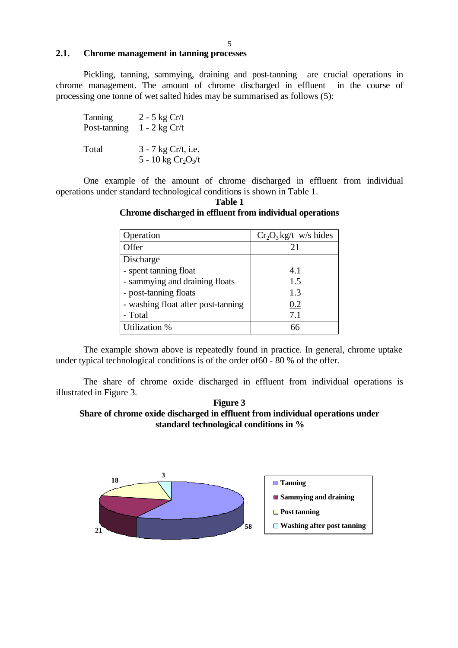### **2.1. Chrome management in tanning processes**

Pickling, tanning, sammying, draining and post-tanning are crucial operations in chrome management. The amount of chrome discharged in effluent in the course of processing one tonne of wet salted hides may be summarised as follows (5):

| Tanning      | $2 - 5$ kg Cr/t                              |
|--------------|----------------------------------------------|
| Post-tanning | $1 - 2$ kg Cr/t                              |
| Total        | 3 - 7 kg Cr/t, i.e.<br>5 - 10 kg $Cr_2O_3/t$ |

One example of the amount of chrome discharged in effluent from individual operations under standard technological conditions is shown in Table 1.

| Operation                          | $Cr_2O_3$ kg/t w/s hides |
|------------------------------------|--------------------------|
| Offer                              | 21                       |
| Discharge                          |                          |
| - spent tanning float              | 4.1                      |
| - sammying and draining floats     | 1.5                      |
| - post-tanning floats              | 1.3                      |
| - washing float after post-tanning | 0.2                      |
| - Total                            | 7.1                      |
| Utilization %                      |                          |

**Table 1 Chrome discharged in effluent from individual operations**

The example shown above is repeatedly found in practice. In general, chrome uptake under typical technological conditions is of the order of60 - 80 % of the offer.

 The share of chrome oxide discharged in effluent from individual operations is illustrated in Figure 3.



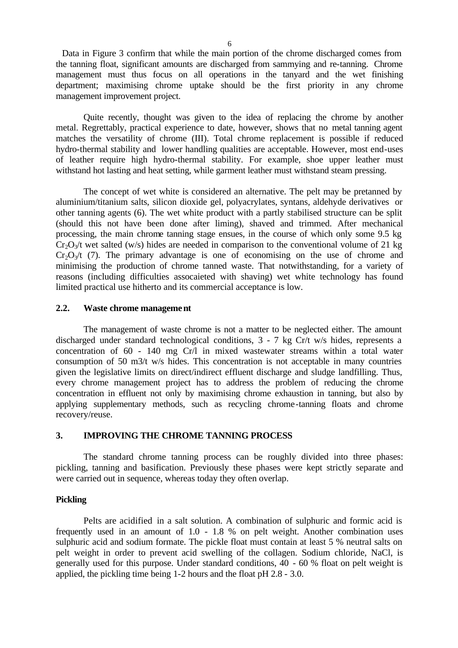Data in Figure 3 confirm that while the main portion of the chrome discharged comes from the tanning float, significant amounts are discharged from sammying and re-tanning. Chrome management must thus focus on all operations in the tanyard and the wet finishing department; maximising chrome uptake should be the first priority in any chrome management improvement project.

Quite recently, thought was given to the idea of replacing the chrome by another metal. Regrettably, practical experience to date, however, shows that no metal tanning agent matches the versatility of chrome (III). Total chrome replacement is possible if reduced hydro-thermal stability and lower handling qualities are acceptable. However, most end-uses of leather require high hydro-thermal stability. For example, shoe upper leather must withstand hot lasting and heat setting, while garment leather must withstand steam pressing.

The concept of wet white is considered an alternative. The pelt may be pretanned by aluminium/titanium salts, silicon dioxide gel, polyacrylates, syntans, aldehyde derivatives or other tanning agents (6). The wet white product with a partly stabilised structure can be split (should this not have been done after liming), shaved and trimmed. After mechanical processing, the main chrome tanning stage ensues, in the course of which only some 9.5 kg  $Cr_2O<sub>3</sub>/t$  wet salted (w/s) hides are needed in comparison to the conventional volume of 21 kg  $Cr_2O_2/t$  (7). The primary advantage is one of economising on the use of chrome and minimising the production of chrome tanned waste. That notwithstanding, for a variety of reasons (including difficulties assocaieted with shaving) wet white technology has found limited practical use hitherto and its commercial acceptance is low.

### **2.2. Waste chrome management**

The management of waste chrome is not a matter to be neglected either. The amount discharged under standard technological conditions, 3 - 7 kg Cr/t w/s hides, represents a concentration of 60 - 140 mg Cr/l in mixed wastewater streams within a total water consumption of 50 m3/t w/s hides. This concentration is not acceptable in many countries given the legislative limits on direct/indirect effluent discharge and sludge landfilling. Thus, every chrome management project has to address the problem of reducing the chrome concentration in effluent not only by maximising chrome exhaustion in tanning, but also by applying supplementary methods, such as recycling chrome-tanning floats and chrome recovery/reuse.

### **3. IMPROVING THE CHROME TANNING PROCESS**

The standard chrome tanning process can be roughly divided into three phases: pickling, tanning and basification. Previously these phases were kept strictly separate and were carried out in sequence, whereas today they often overlap.

#### **Pickling**

Pelts are acidified in a salt solution. A combination of sulphuric and formic acid is frequently used in an amount of 1.0 - 1.8 % on pelt weight. Another combination uses sulphuric acid and sodium formate. The pickle float must contain at least 5 % neutral salts on pelt weight in order to prevent acid swelling of the collagen. Sodium chloride, NaCl, is generally used for this purpose. Under standard conditions, 40 - 60 % float on pelt weight is applied, the pickling time being 1-2 hours and the float pH 2.8 - 3.0.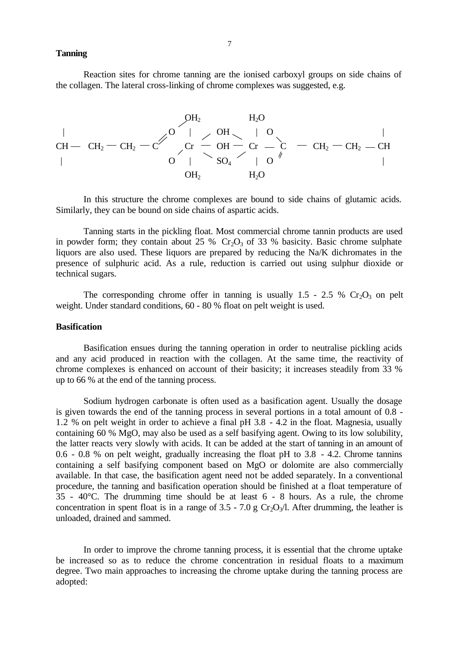**Tanning**

Reaction sites for chrome tanning are the ionised carboxyl groups on side chains of the collagen. The lateral cross-linking of chrome complexes was suggested, e.g.

$$
\begin{array}{ccccccc} & & & & \mathsf{OH}_2 & & \mathsf{H}_2\mathsf{O} & & & \\ & & & & \mathsf{CH} - & \mathsf{CH}_2 - \mathsf{CH}_2 & -\mathsf{C}' & \mathsf{O} & \mathsf{H} & & \mathsf{O} & \mathsf{O} & \mathsf{H}_2\mathsf{O} & & \\ & & & & & \mathsf{C}\mathsf{r} & \mathsf{O} & \mathsf{H} & \mathsf{O} & \mathsf{C}\mathsf{r} & \mathsf{O} & \mathsf{G} & \mathsf{H}_2\mathsf{O} & & & \\ & & & & & \mathsf{O} & \mathsf{H}_2 & & \mathsf{H}_2\mathsf{O} & & & & \mathsf{H}_2\mathsf{O} & & & \\ & & & & & & \mathsf{H}_2\mathsf{O} & & & & & \mathsf{H}_2\mathsf{O} & & & & \\ \end{array}
$$

In this structure the chrome complexes are bound to side chains of glutamic acids. Similarly, they can be bound on side chains of aspartic acids.

Tanning starts in the pickling float. Most commercial chrome tannin products are used in powder form; they contain about 25 %  $Cr_2O_3$  of 33 % basicity. Basic chrome sulphate liquors are also used. These liquors are prepared by reducing the Na/K dichromates in the presence of sulphuric acid. As a rule, reduction is carried out using sulphur dioxide or technical sugars.

The corresponding chrome offer in tanning is usually 1.5 - 2.5 %  $Cr_2O_3$  on pelt weight. Under standard conditions, 60 - 80 % float on pelt weight is used.

### **Basification**

Basification ensues during the tanning operation in order to neutralise pickling acids and any acid produced in reaction with the collagen. At the same time, the reactivity of chrome complexes is enhanced on account of their basicity; it increases steadily from 33 % up to 66 % at the end of the tanning process.

Sodium hydrogen carbonate is often used as a basification agent. Usually the dosage is given towards the end of the tanning process in several portions in a total amount of 0.8 - 1.2 % on pelt weight in order to achieve a final pH 3.8 - 4.2 in the float. Magnesia, usually containing 60 % MgO, may also be used as a self basifying agent. Owing to its low solubility, the latter reacts very slowly with acids. It can be added at the start of tanning in an amount of 0.6 - 0.8 % on pelt weight, gradually increasing the float pH to 3.8 - 4.2. Chrome tannins containing a self basifying component based on MgO or dolomite are also commercially available. In that case, the basification agent need not be added separately. In a conventional procedure, the tanning and basification operation should be finished at a float temperature of 35 - 40°C. The drumming time should be at least 6 - 8 hours. As a rule, the chrome concentration in spent float is in a range of  $3.5 - 7.0$  g Cr<sub>2</sub>O<sub>3</sub>/l. After drumming, the leather is unloaded, drained and sammed.

In order to improve the chrome tanning process, it is essential that the chrome uptake be increased so as to reduce the chrome concentration in residual floats to a maximum degree. Two main approaches to increasing the chrome uptake during the tanning process are adopted: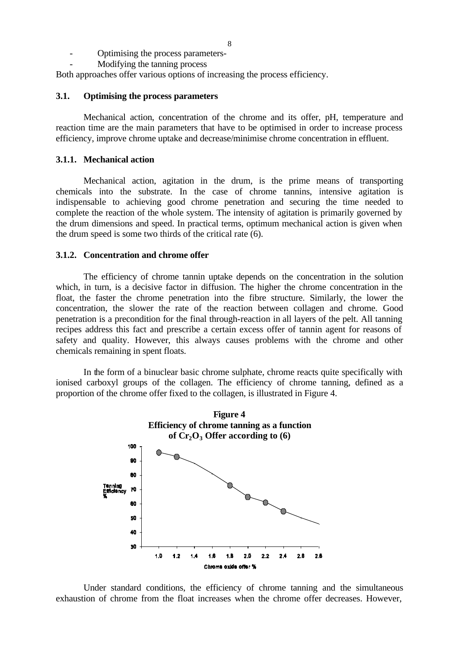- Optimising the process parameters-
- Modifying the tanning process

Both approaches offer various options of increasing the process efficiency.

### **3.1. Optimising the process parameters**

Mechanical action, concentration of the chrome and its offer, pH, temperature and reaction time are the main parameters that have to be optimised in order to increase process efficiency, improve chrome uptake and decrease/minimise chrome concentration in effluent.

### **3.1.1. Mechanical action**

Mechanical action, agitation in the drum, is the prime means of transporting chemicals into the substrate. In the case of chrome tannins, intensive agitation is indispensable to achieving good chrome penetration and securing the time needed to complete the reaction of the whole system. The intensity of agitation is primarily governed by the drum dimensions and speed. In practical terms, optimum mechanical action is given when the drum speed is some two thirds of the critical rate (6).

#### **3.1.2. Concentration and chrome offer**

The efficiency of chrome tannin uptake depends on the concentration in the solution which, in turn, is a decisive factor in diffusion. The higher the chrome concentration in the float, the faster the chrome penetration into the fibre structure. Similarly, the lower the concentration, the slower the rate of the reaction between collagen and chrome. Good penetration is a precondition for the final through-reaction in all layers of the pelt. All tanning recipes address this fact and prescribe a certain excess offer of tannin agent for reasons of safety and quality. However, this always causes problems with the chrome and other chemicals remaining in spent floats.

In the form of a binuclear basic chrome sulphate, chrome reacts quite specifically with ionised carboxyl groups of the collagen. The efficiency of chrome tanning, defined as a proportion of the chrome offer fixed to the collagen, is illustrated in Figure 4.



Under standard conditions, the efficiency of chrome tanning and the simultaneous exhaustion of chrome from the float increases when the chrome offer decreases. However,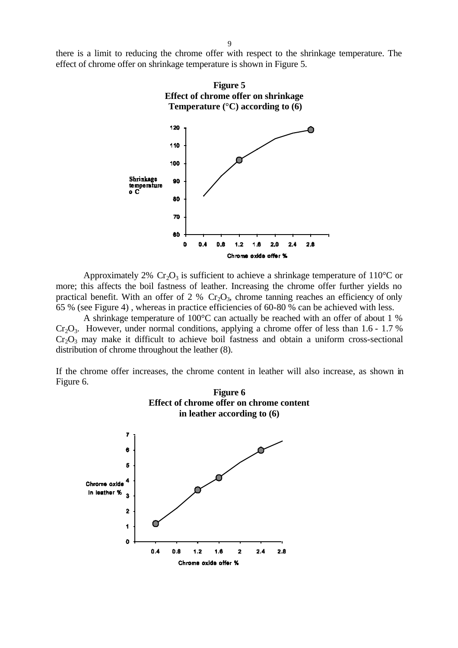there is a limit to reducing the chrome offer with respect to the shrinkage temperature. The effect of chrome offer on shrinkage temperature is shown in Figure 5.



Approximately 2%  $Cr_2O_3$  is sufficient to achieve a shrinkage temperature of 110<sup>o</sup>C or more; this affects the boil fastness of leather. Increasing the chrome offer further yields no practical benefit. With an offer of 2 %  $Cr_2O_3$ , chrome tanning reaches an efficiency of only 65 % (see Figure 4) , whereas in practice efficiencies of 60-80 % can be achieved with less.

A shrinkage temperature of 100°C can actually be reached with an offer of about 1 %  $Cr_2O_3$ . However, under normal conditions, applying a chrome offer of less than 1.6 - 1.7 %  $Cr<sub>2</sub>O<sub>3</sub>$  may make it difficult to achieve boil fastness and obtain a uniform cross-sectional distribution of chrome throughout the leather (8).

If the chrome offer increases, the chrome content in leather will also increase, as shown in Figure 6.

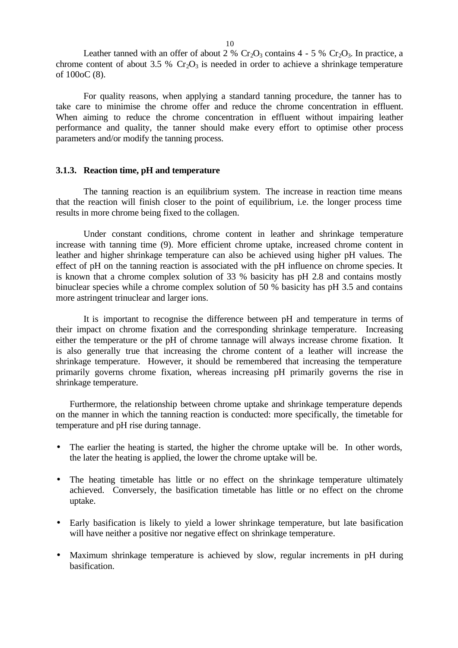Leather tanned with an offer of about 2 %  $Cr_2O_3$  contains 4 - 5 %  $Cr_2O_3$ . In practice, a chrome content of about 3.5 %  $Cr_2O_3$  is needed in order to achieve a shrinkage temperature of 100oC (8).

For quality reasons, when applying a standard tanning procedure, the tanner has to take care to minimise the chrome offer and reduce the chrome concentration in effluent. When aiming to reduce the chrome concentration in effluent without impairing leather performance and quality, the tanner should make every effort to optimise other process parameters and/or modify the tanning process.

#### **3.1.3. Reaction time, pH and temperature**

The tanning reaction is an equilibrium system. The increase in reaction time means that the reaction will finish closer to the point of equilibrium, i.e. the longer process time results in more chrome being fixed to the collagen.

Under constant conditions, chrome content in leather and shrinkage temperature increase with tanning time (9). More efficient chrome uptake, increased chrome content in leather and higher shrinkage temperature can also be achieved using higher pH values. The effect of pH on the tanning reaction is associated with the pH influence on chrome species. It is known that a chrome complex solution of 33 % basicity has pH 2.8 and contains mostly binuclear species while a chrome complex solution of 50 % basicity has pH 3.5 and contains more astringent trinuclear and larger ions.

It is important to recognise the difference between pH and temperature in terms of their impact on chrome fixation and the corresponding shrinkage temperature. Increasing either the temperature or the pH of chrome tannage will always increase chrome fixation. It is also generally true that increasing the chrome content of a leather will increase the shrinkage temperature. However, it should be remembered that increasing the temperature primarily governs chrome fixation, whereas increasing pH primarily governs the rise in shrinkage temperature.

Furthermore, the relationship between chrome uptake and shrinkage temperature depends on the manner in which the tanning reaction is conducted: more specifically, the timetable for temperature and pH rise during tannage.

- The earlier the heating is started, the higher the chrome uptake will be. In other words, the later the heating is applied, the lower the chrome uptake will be.
- The heating timetable has little or no effect on the shrinkage temperature ultimately achieved. Conversely, the basification timetable has little or no effect on the chrome uptake.
- Early basification is likely to yield a lower shrinkage temperature, but late basification will have neither a positive nor negative effect on shrinkage temperature.
- Maximum shrinkage temperature is achieved by slow, regular increments in pH during basification.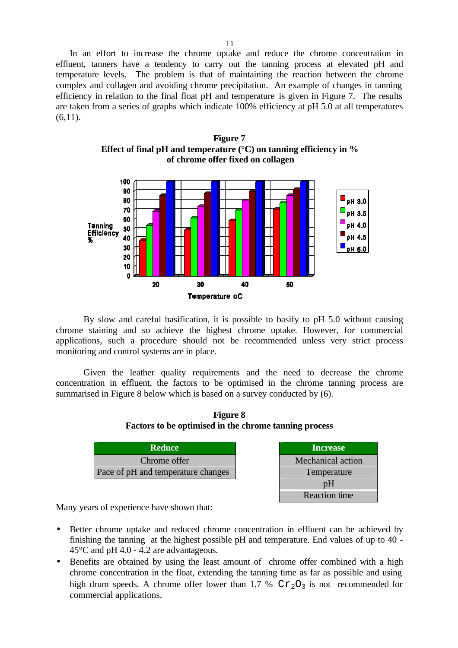In an effort to increase the chrome uptake and reduce the chrome concentration in effluent, tanners have a tendency to carry out the tanning process at elevated pH and temperature levels. The problem is that of maintaining the reaction between the chrome complex and collagen and avoiding chrome precipitation. An example of changes in tanning efficiency in relation to the final float pH and temperature is given in Figure 7. The results are taken from a series of graphs which indicate 100% efficiency at pH 5.0 at all temperatures  $(6.11).$ 

**Figure 7 Effect of final pH and temperature (°C) on tanning efficiency in % of chrome offer fixed on collagen** 



By slow and careful basification, it is possible to basify to pH 5.0 without causing chrome staining and so achieve the highest chrome uptake. However, for commercial applications, such a procedure should not be recommended unless very strict process monitoring and control systems are in place.

Given the leather quality requirements and the need to decrease the chrome concentration in effluent, the factors to be optimised in the chrome tanning process are summarised in Figure 8 below which is based on a survey conducted by (6).



| <b>Reduce</b>                      | <b>Increase</b>      |
|------------------------------------|----------------------|
| Chrome offer                       | Mechanical action    |
| Pace of pH and temperature changes | Temperature          |
|                                    | pH                   |
|                                    | <b>Reaction</b> time |

Many years of experience have shown that:

- Better chrome uptake and reduced chrome concentration in effluent can be achieved by finishing the tanning at the highest possible pH and temperature. End values of up to 40 - 45°C and pH 4.0 - 4.2 are advantageous.
- Benefits are obtained by using the least amount of chrome offer combined with a high chrome concentration in the float, extending the tanning time as far as possible and using high drum speeds. A chrome offer lower than 1.7 %  $Cr_2O_3$  is not recommended for commercial applications.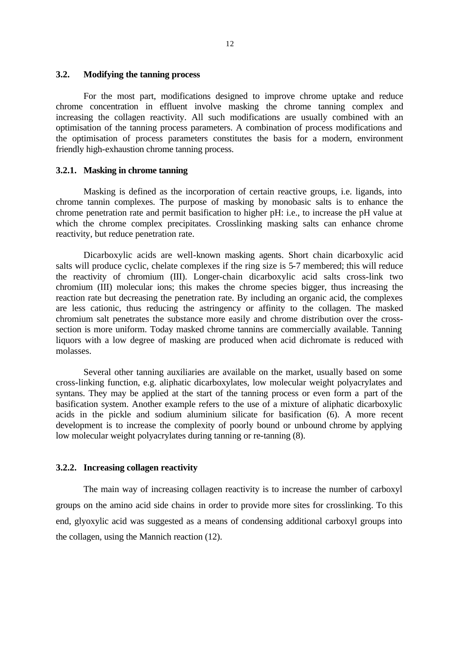### **3.2. Modifying the tanning process**

For the most part, modifications designed to improve chrome uptake and reduce chrome concentration in effluent involve masking the chrome tanning complex and increasing the collagen reactivity. All such modifications are usually combined with an optimisation of the tanning process parameters. A combination of process modifications and the optimisation of process parameters constitutes the basis for a modern, environment friendly high-exhaustion chrome tanning process.

#### **3.2.1. Masking in chrome tanning**

Masking is defined as the incorporation of certain reactive groups, i.e. ligands, into chrome tannin complexes. The purpose of masking by monobasic salts is to enhance the chrome penetration rate and permit basification to higher pH: i.e., to increase the pH value at which the chrome complex precipitates. Crosslinking masking salts can enhance chrome reactivity, but reduce penetration rate.

Dicarboxylic acids are well-known masking agents. Short chain dicarboxylic acid salts will produce cyclic, chelate complexes if the ring size is 5-7 membered; this will reduce the reactivity of chromium (III). Longer-chain dicarboxylic acid salts cross-link two chromium (III) molecular ions; this makes the chrome species bigger, thus increasing the reaction rate but decreasing the penetration rate. By including an organic acid, the complexes are less cationic, thus reducing the astringency or affinity to the collagen. The masked chromium salt penetrates the substance more easily and chrome distribution over the crosssection is more uniform. Today masked chrome tannins are commercially available. Tanning liquors with a low degree of masking are produced when acid dichromate is reduced with molasses.

Several other tanning auxiliaries are available on the market, usually based on some cross-linking function, e.g. aliphatic dicarboxylates, low molecular weight polyacrylates and syntans. They may be applied at the start of the tanning process or even form a part of the basification system. Another example refers to the use of a mixture of aliphatic dicarboxylic acids in the pickle and sodium aluminium silicate for basification (6). A more recent development is to increase the complexity of poorly bound or unbound chrome by applying low molecular weight polyacrylates during tanning or re-tanning (8).

### **3.2.2. Increasing collagen reactivity**

The main way of increasing collagen reactivity is to increase the number of carboxyl groups on the amino acid side chains in order to provide more sites for crosslinking. To this end, glyoxylic acid was suggested as a means of condensing additional carboxyl groups into the collagen, using the Mannich reaction (12).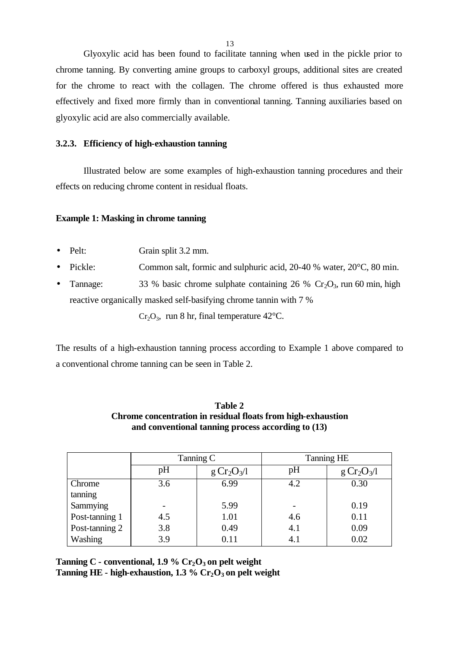Glyoxylic acid has been found to facilitate tanning when used in the pickle prior to chrome tanning. By converting amine groups to carboxyl groups, additional sites are created for the chrome to react with the collagen. The chrome offered is thus exhausted more effectively and fixed more firmly than in conventional tanning. Tanning auxiliaries based on glyoxylic acid are also commercially available.

### **3.2.3. Efficiency of high-exhaustion tanning**

Illustrated below are some examples of high-exhaustion tanning procedures and their effects on reducing chrome content in residual floats.

### **Example 1: Masking in chrome tanning**

- Pelt: Grain split 3.2 mm.
- Pickle: Common salt, formic and sulphuric acid, 20-40 % water, 20 °C, 80 min.
- Tannage: 33 % basic chrome sulphate containing 26 %  $Cr_2O_3$ , run 60 min, high reactive organically masked self-basifying chrome tannin with 7 %

 $Cr_2O_3$ , run 8 hr, final temperature 42°C.

The results of a high-exhaustion tanning process according to Example 1 above compared to a conventional chrome tanning can be seen in Table 2.

|                | Tanning C |                                     | <b>Tanning HE</b> |               |
|----------------|-----------|-------------------------------------|-------------------|---------------|
|                | pH        | g Cr <sub>2</sub> O <sub>3</sub> /l | pH                | $g Cr_2O_3/l$ |
| Chrome         | 3.6       | 6.99                                | 4.2               | 0.30          |
| tanning        |           |                                     |                   |               |
| Sammying       |           | 5.99                                |                   | 0.19          |
| Post-tanning 1 | 4.5       | 1.01                                | 4.6               | 0.11          |
| Post-tanning 2 | 3.8       | 0.49                                | 4.1               | 0.09          |
| Washing        | 3.9       | 0.11                                | 4.1               | 0.02          |

**Table 2 Chrome concentration in residual floats from high-exhaustion and conventional tanning process according to (13)**

**Tanning C - conventional, 1.9 % Cr2O3 on pelt weight Tanning HE - high-exhaustion, 1.3 % Cr2O3 on pelt weight**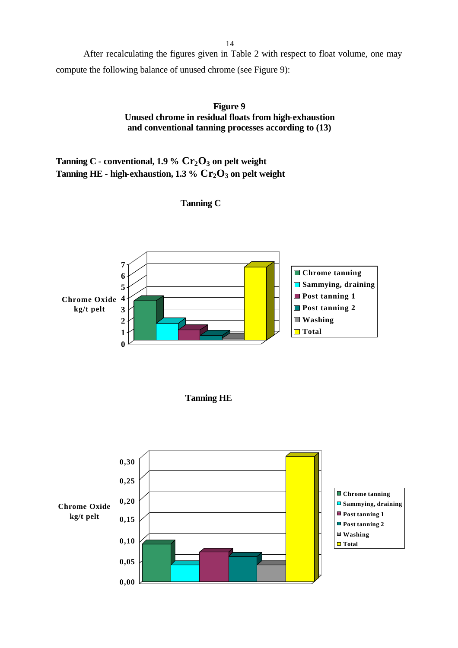After recalculating the figures given in Table 2 with respect to float volume, one may compute the following balance of unused chrome (see Figure 9):

> **Figure 9 Unused chrome in residual floats from high-exhaustion and conventional tanning processes according to (13)**

**Tanning C - conventional, 1.9 % Cr2O3 on pelt weight Tanning HE - high-exhaustion, 1.3 % Cr2O3 on pelt weight** 



# **Tanning C**

 **Tanning HE**

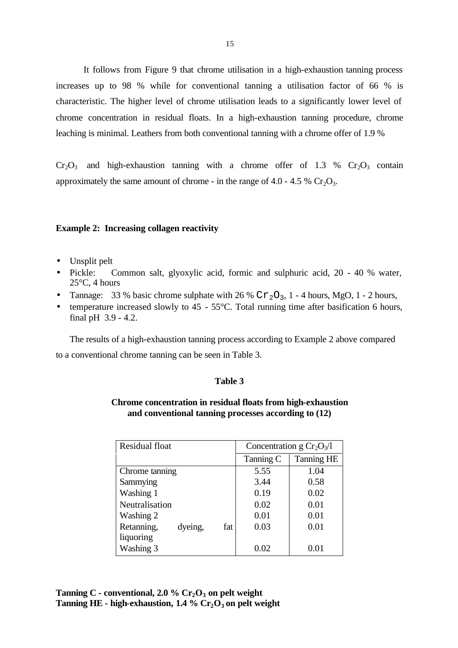It follows from Figure 9 that chrome utilisation in a high-exhaustion tanning process increases up to 98 % while for conventional tanning a utilisation factor of 66 % is characteristic. The higher level of chrome utilisation leads to a significantly lower level of chrome concentration in residual floats. In a high-exhaustion tanning procedure, chrome leaching is minimal. Leathers from both conventional tanning with a chrome offer of 1.9 %

 $Cr_2O_3$  and high-exhaustion tanning with a chrome offer of 1.3 %  $Cr_2O_3$  contain approximately the same amount of chrome - in the range of  $4.0 - 4.5\%$  Cr<sub>2</sub>O<sub>3</sub>.

#### **Example 2: Increasing collagen reactivity**

- Unsplit pelt
- Pickle: Common salt, glyoxylic acid, formic and sulphuric acid, 20 40 % water, 25°C, 4 hours
- Tannage: 33 % basic chrome sulphate with 26 %  $Cr_2O_3$ , 1 4 hours, MgO, 1 2 hours,
- temperature increased slowly to 45 55°C. Total running time after basification 6 hours, final pH 3.9 - 4.2.

The results of a high-exhaustion tanning process according to Example 2 above compared to a conventional chrome tanning can be seen in Table 3.

#### **Table 3**

### **Chrome concentration in residual floats from high-exhaustion and conventional tanning processes according to (12)**

| Residual float |         |     | Concentration g $Cr_2O_3/1$ |            |
|----------------|---------|-----|-----------------------------|------------|
|                |         |     | Tanning C                   | Tanning HE |
| Chrome tanning |         |     | 5.55                        | 1.04       |
| Sammying       |         |     | 3.44                        | 0.58       |
| Washing 1      |         |     | 0.19                        | 0.02       |
| Neutralisation |         |     | 0.02                        | 0.01       |
| Washing 2      |         |     | 0.01                        | 0.01       |
| Retanning,     | dyeing, | fat | 0.03                        | 0.01       |
| liquoring      |         |     |                             |            |
| Washing 3      |         |     | 0.02                        | 0.01       |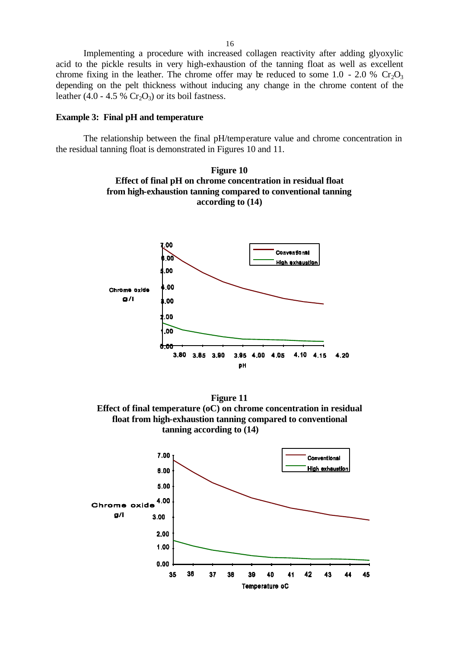Implementing a procedure with increased collagen reactivity after adding glyoxylic acid to the pickle results in very high-exhaustion of the tanning float as well as excellent chrome fixing in the leather. The chrome offer may be reduced to some 1.0 - 2.0 %  $Cr_2O_3$ depending on the pelt thickness without inducing any change in the chrome content of the leather (4.0 - 4.5 %  $Cr_2O_3$ ) or its boil fastness.

#### **Example 3: Final pH and temperature**

The relationship between the final pH/temperature value and chrome concentration in the residual tanning float is demonstrated in Figures 10 and 11.





**Figure 11 Effect of final temperature (oC) on chrome concentration in residual float from high-exhaustion tanning compared to conventional tanning according to (14)**

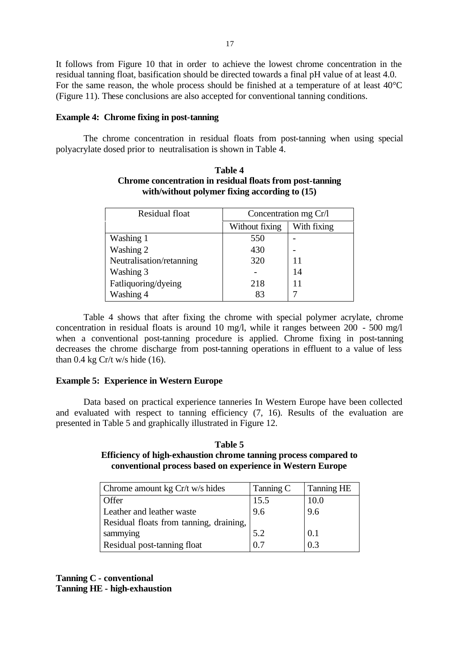It follows from Figure 10 that in order to achieve the lowest chrome concentration in the residual tanning float, basification should be directed towards a final pH value of at least 4.0. For the same reason, the whole process should be finished at a temperature of at least 40°C (Figure 11). These conclusions are also accepted for conventional tanning conditions.

#### **Example 4: Chrome fixing in post-tanning**

The chrome concentration in residual floats from post-tanning when using special polyacrylate dosed prior to neutralisation is shown in Table 4.

| Residual float           | Concentration mg Cr/l |             |
|--------------------------|-----------------------|-------------|
|                          | Without fixing        | With fixing |
| Washing 1                | 550                   |             |
| Washing 2                | 430                   |             |
| Neutralisation/retanning | 320                   | 11          |
| Washing 3                |                       | 14          |
| Fatliquoring/dyeing      | 218                   | 11          |
| Washing 4                | 83                    |             |

### **Table 4 Chrome concentration in residual floats from post-tanning with/without polymer fixing according to (15)**

Table 4 shows that after fixing the chrome with special polymer acrylate, chrome concentration in residual floats is around 10 mg/l, while it ranges between 200 - 500 mg/l when a conventional post-tanning procedure is applied. Chrome fixing in post-tanning decreases the chrome discharge from post-tanning operations in effluent to a value of less than  $0.4$  kg Cr/t w/s hide (16).

#### **Example 5: Experience in Western Europe**

Data based on practical experience tanneries In Western Europe have been collected and evaluated with respect to tanning efficiency (7, 16). Results of the evaluation are presented in Table 5 and graphically illustrated in Figure 12.

### **Table 5 Efficiency of high-exhaustion chrome tanning process compared to conventional process based on experience in Western Europe**

| Chrome amount kg Cr/t w/s hides         | Tanning C | <b>Tanning HE</b> |
|-----------------------------------------|-----------|-------------------|
| Offer                                   | 15.5      | 10.0              |
| Leather and leather waste               | 9.6       | 9.6               |
| Residual floats from tanning, draining, |           |                   |
| sammying                                | 5.2       | 0.1               |
| Residual post-tanning float             | 0.7       | 0.3               |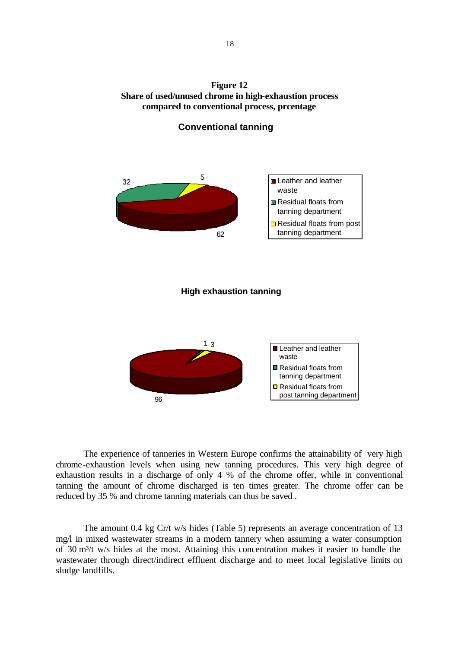**Figure 12 Share of used/unused chrome in high-exhaustion process compared to conventional process, prcentage**



### **Conventional tanning**

### **High exhaustion tanning**



The experience of tanneries in Western Europe confirms the attainability of very high chrome-exhaustion levels when using new tanning procedures. This very high degree of exhaustion results in a discharge of only 4 % of the chrome offer, while in conventional tanning the amount of chrome discharged is ten times greater. The chrome offer can be reduced by 35 % and chrome tanning materials can thus be saved .

The amount 0.4 kg Cr/t w/s hides (Table 5) represents an average concentration of 13 mg/l in mixed wastewater streams in a modern tannery when assuming a water consumption of 30 m<sup>3</sup>/t w/s hides at the most. Attaining this concentration makes it easier to handle the wastewater through direct/indirect effluent discharge and to meet local legislative limits on sludge landfills.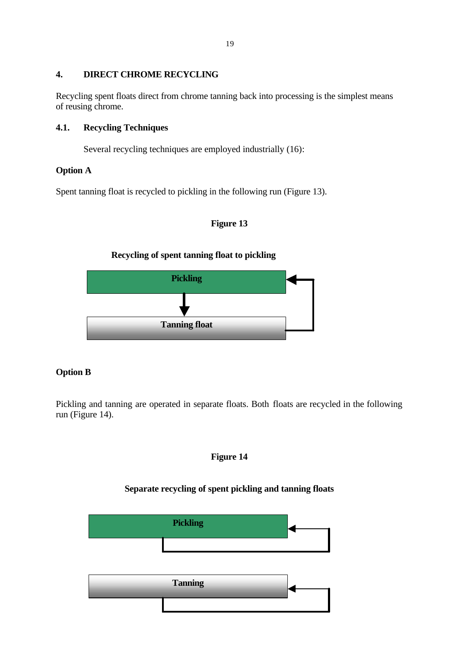### **4. DIRECT CHROME RECYCLING**

Recycling spent floats direct from chrome tanning back into processing is the simplest means of reusing chrome.

# **4.1. Recycling Techniques**

Several recycling techniques are employed industrially (16):

# **Option A**

Spent tanning float is recycled to pickling in the following run (Figure 13).

# **Figure 13**

# **Recycling of spent tanning float to pickling**



# **Option B**

Pickling and tanning are operated in separate floats. Both floats are recycled in the following run (Figure 14).

# **Figure 14**

# **Separate recycling of spent pickling and tanning floats**

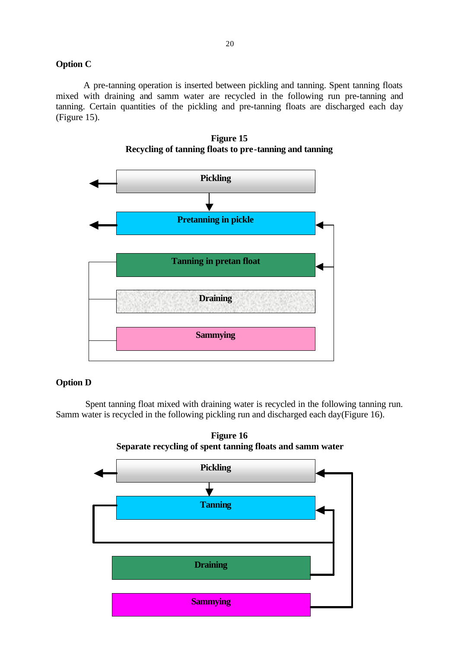# **Option C**

A pre-tanning operation is inserted between pickling and tanning. Spent tanning floats mixed with draining and samm water are recycled in the following run pre-tanning and tanning. Certain quantities of the pickling and pre-tanning floats are discharged each day (Figure 15).





#### **Option D**

 Spent tanning float mixed with draining water is recycled in the following tanning run. Samm water is recycled in the following pickling run and discharged each day(Figure 16).



**Figure 16**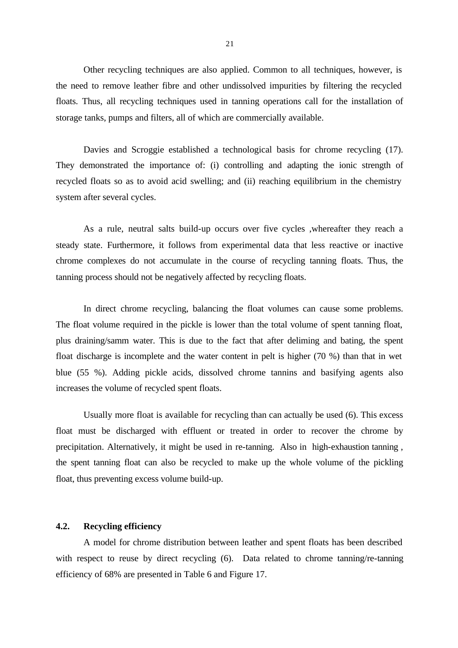Other recycling techniques are also applied. Common to all techniques, however, is the need to remove leather fibre and other undissolved impurities by filtering the recycled floats. Thus, all recycling techniques used in tanning operations call for the installation of storage tanks, pumps and filters, all of which are commercially available.

Davies and Scroggie established a technological basis for chrome recycling (17). They demonstrated the importance of: (i) controlling and adapting the ionic strength of recycled floats so as to avoid acid swelling; and (ii) reaching equilibrium in the chemistry system after several cycles.

As a rule, neutral salts build-up occurs over five cycles ,whereafter they reach a steady state. Furthermore, it follows from experimental data that less reactive or inactive chrome complexes do not accumulate in the course of recycling tanning floats. Thus, the tanning process should not be negatively affected by recycling floats.

In direct chrome recycling, balancing the float volumes can cause some problems. The float volume required in the pickle is lower than the total volume of spent tanning float, plus draining/samm water. This is due to the fact that after deliming and bating, the spent float discharge is incomplete and the water content in pelt is higher (70 %) than that in wet blue (55 %). Adding pickle acids, dissolved chrome tannins and basifying agents also increases the volume of recycled spent floats.

Usually more float is available for recycling than can actually be used (6). This excess float must be discharged with effluent or treated in order to recover the chrome by precipitation. Alternatively, it might be used in re-tanning. Also in high-exhaustion tanning , the spent tanning float can also be recycled to make up the whole volume of the pickling float, thus preventing excess volume build-up.

### **4.2. Recycling efficiency**

A model for chrome distribution between leather and spent floats has been described with respect to reuse by direct recycling (6). Data related to chrome tanning/re-tanning efficiency of 68% are presented in Table 6 and Figure 17.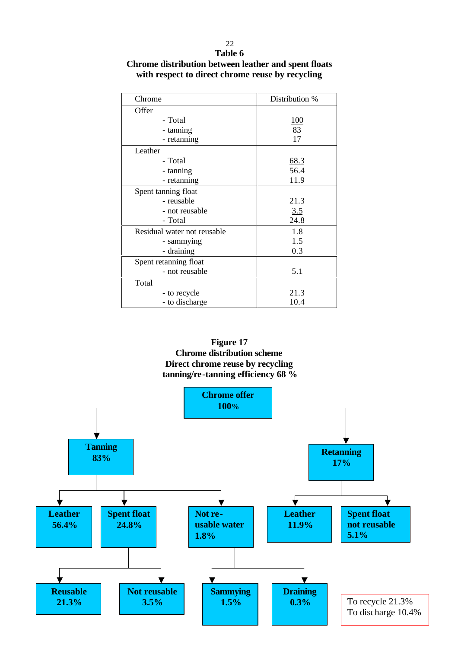| Chrome                      | Distribution % |
|-----------------------------|----------------|
| Offer                       |                |
| - Total                     | <u>100</u>     |
| - tanning                   | 83             |
| - retanning                 | 17             |
| Leather                     |                |
| - Total                     | 68.3           |
| - tanning                   | 56.4           |
| - retanning                 | 11.9           |
| Spent tanning float         |                |
| - reusable                  | 21.3           |
| - not reusable              | 3.5            |
| - Total                     | 24.8           |
| Residual water not reusable | 1.8            |
| - sammying                  | 1.5            |
| - draining                  | 0.3            |
| Spent retanning float       |                |
| - not reusable              | 5.1            |
| Total                       |                |
| - to recycle                | 21.3           |
| - to discharge              | 10.4           |

# **Table 6 Chrome distribution between leather and spent floats with respect to direct chrome reuse by recycling**

22

**Figure 17 Chrome distribution scheme Direct chrome reuse by recycling tanning/re-tanning efficiency 68 %**

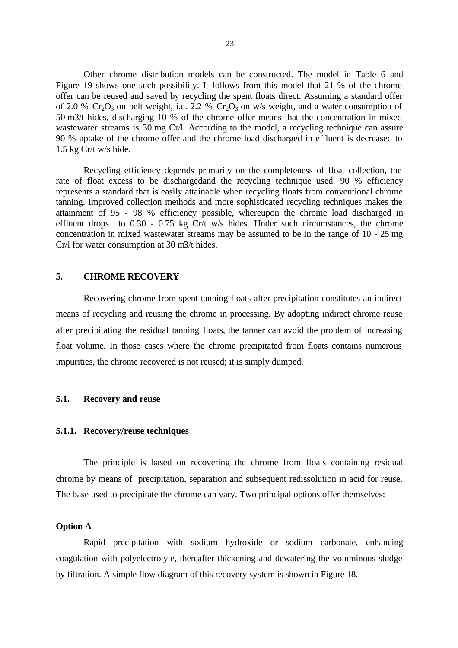Other chrome distribution models can be constructed. The model in Table 6 and Figure 19 shows one such possibility. It follows from this model that 21 % of the chrome offer can be reused and saved by recycling the spent floats direct. Assuming a standard offer of 2.0 %  $Cr_2O_3$  on pelt weight, i.e. 2.2 %  $Cr_2O_3$  on w/s weight, and a water consumption of 50 m3/t hides, discharging 10 % of the chrome offer means that the concentration in mixed wastewater streams is 30 mg Cr/l. According to the model, a recycling technique can assure 90 % uptake of the chrome offer and the chrome load discharged in effluent is decreased to 1.5 kg Cr/t w/s hide.

Recycling efficiency depends primarily on the completeness of float collection, the rate of float excess to be dischargedand the recycling technique used. 90 % efficiency represents a standard that is easily attainable when recycling floats from conventional chrome tanning. Improved collection methods and more sophisticated recycling techniques makes the attainment of 95 - 98 % efficiency possible, whereupon the chrome load discharged in effluent drops to 0.30 - 0.75 kg Cr/t w/s hides. Under such circumstances, the chrome concentration in mixed wastewater streams may be assumed to be in the range of 10 - 25 mg Cr/l for water consumption at 30 m3/t hides.

# **5. CHROME RECOVERY**

Recovering chrome from spent tanning floats after precipitation constitutes an indirect means of recycling and reusing the chrome in processing. By adopting indirect chrome reuse after precipitating the residual tanning floats, the tanner can avoid the problem of increasing float volume. In those cases where the chrome precipitated from floats contains numerous impurities, the chrome recovered is not reused; it is simply dumped.

#### **5.1. Recovery and reuse**

#### **5.1.1. Recovery/reuse techniques**

The principle is based on recovering the chrome from floats containing residual chrome by means of precipitation, separation and subsequent redissolution in acid for reuse. The base used to precipitate the chrome can vary. Two principal options offer themselves:

### **Option A**

Rapid precipitation with sodium hydroxide or sodium carbonate, enhancing coagulation with polyelectrolyte, thereafter thickening and dewatering the voluminous sludge by filtration. A simple flow diagram of this recovery system is shown in Figure 18.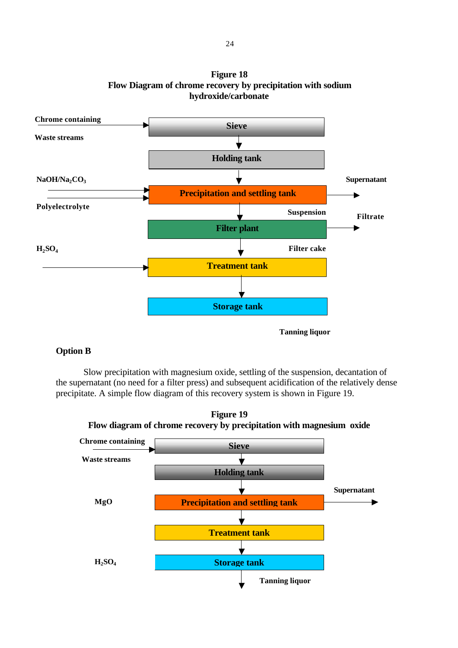

**Figure 18 Flow Diagram of chrome recovery by precipitation with sodium hydroxide/carbonate**

# **Option B**

Slow precipitation with magnesium oxide, settling of the suspension, decantation of the supernatant (no need for a filter press) and subsequent acidification of the relatively dense precipitate. A simple flow diagram of this recovery system is shown in Figure 19.



**Figure 19 Flow diagram of chrome recovery by precipitation with magnesium oxide**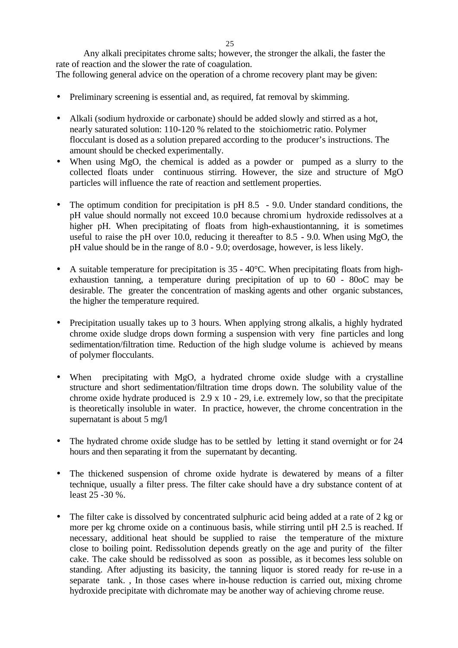Any alkali precipitates chrome salts; however, the stronger the alkali, the faster the rate of reaction and the slower the rate of coagulation.

The following general advice on the operation of a chrome recovery plant may be given:

- Preliminary screening is essential and, as required, fat removal by skimming.
- Alkali (sodium hydroxide or carbonate) should be added slowly and stirred as a hot, nearly saturated solution: 110-120 % related to the stoichiometric ratio. Polymer flocculant is dosed as a solution prepared according to the producer's instructions. The amount should be checked experimentally.
- When using MgO, the chemical is added as a powder or pumped as a slurry to the collected floats under continuous stirring. However, the size and structure of MgO particles will influence the rate of reaction and settlement properties.
- The optimum condition for precipitation is pH 8.5 9.0. Under standard conditions, the pH value should normally not exceed 10.0 because chromium hydroxide redissolves at a higher pH. When precipitating of floats from high-exhaustiontanning, it is sometimes useful to raise the pH over 10.0, reducing it thereafter to 8.5 - 9.0. When using MgO, the pH value should be in the range of 8.0 - 9.0; overdosage, however, is less likely.
- A suitable temperature for precipitation is  $35 40^{\circ}$ C. When precipitating floats from highexhaustion tanning, a temperature during precipitation of up to 60 - 80oC may be desirable. The greater the concentration of masking agents and other organic substances, the higher the temperature required.
- Precipitation usually takes up to 3 hours. When applying strong alkalis, a highly hydrated chrome oxide sludge drops down forming a suspension with very fine particles and long sedimentation/filtration time. Reduction of the high sludge volume is achieved by means of polymer flocculants.
- When precipitating with MgO, a hydrated chrome oxide sludge with a crystalline structure and short sedimentation/filtration time drops down. The solubility value of the chrome oxide hydrate produced is 2.9 x 10 - 29, i.e. extremely low, so that the precipitate is theoretically insoluble in water. In practice, however, the chrome concentration in the supernatant is about 5 mg/l
- The hydrated chrome oxide sludge has to be settled by letting it stand overnight or for 24 hours and then separating it from the supernatant by decanting.
- The thickened suspension of chrome oxide hydrate is dewatered by means of a filter technique, usually a filter press. The filter cake should have a dry substance content of at least 25 -30 %.
- The filter cake is dissolved by concentrated sulphuric acid being added at a rate of 2 kg or more per kg chrome oxide on a continuous basis, while stirring until pH 2.5 is reached. If necessary, additional heat should be supplied to raise the temperature of the mixture close to boiling point. Redissolution depends greatly on the age and purity of the filter cake. The cake should be redissolved as soon as possible, as it becomes less soluble on standing. After adjusting its basicity, the tanning liquor is stored ready for re-use in a separate tank. , In those cases where in-house reduction is carried out, mixing chrome hydroxide precipitate with dichromate may be another way of achieving chrome reuse.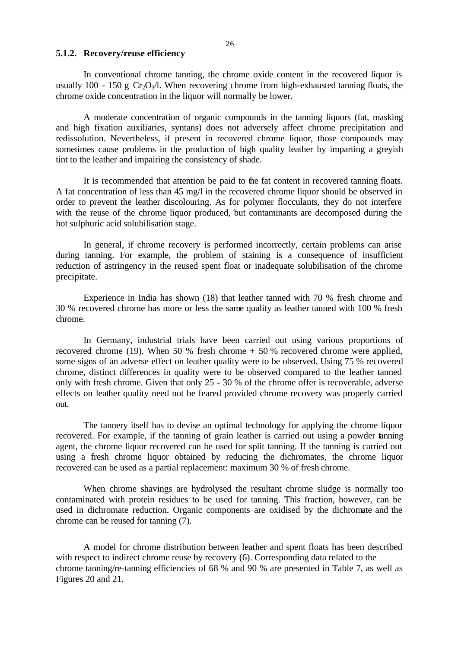#### **5.1.2. Recovery/reuse efficiency**

In conventional chrome tanning, the chrome oxide content in the recovered liquor is usually 100 - 150 g  $Cr_2O_3/l$ . When recovering chrome from high-exhausted tanning floats, the chrome oxide concentration in the liquor will normally be lower.

A moderate concentration of organic compounds in the tanning liquors (fat, masking and high fixation auxiliaries, syntans) does not adversely affect chrome precipitation and redissolution. Nevertheless, if present in recovered chrome liquor, those compounds may sometimes cause problems in the production of high quality leather by imparting a greyish tint to the leather and impairing the consistency of shade.

It is recommended that attention be paid to the fat content in recovered tanning floats. A fat concentration of less than 45 mg/l in the recovered chrome liquor should be observed in order to prevent the leather discolouring. As for polymer flocculants, they do not interfere with the reuse of the chrome liquor produced, but contaminants are decomposed during the hot sulphuric acid solubilisation stage.

In general, if chrome recovery is performed incorrectly, certain problems can arise during tanning. For example, the problem of staining is a consequence of insufficient reduction of astringency in the reused spent float or inadequate solubilisation of the chrome precipitate.

Experience in India has shown (18) that leather tanned with 70 % fresh chrome and 30 % recovered chrome has more or less the same quality as leather tanned with 100 % fresh chrome.

In Germany, industrial trials have been carried out using various proportions of recovered chrome (19). When 50 % fresh chrome  $+ 50$  % recovered chrome were applied, some signs of an adverse effect on leather quality were to be observed. Using 75 % recovered chrome, distinct differences in quality were to be observed compared to the leather tanned only with fresh chrome. Given that only 25 - 30 % of the chrome offer is recoverable, adverse effects on leather quality need not be feared provided chrome recovery was properly carried out.

The tannery itself has to devise an optimal technology for applying the chrome liquor recovered. For example, if the tanning of grain leather is carried out using a powder tanning agent, the chrome liquor recovered can be used for split tanning. If the tanning is carried out using a fresh chrome liquor obtained by reducing the dichromates, the chrome liquor recovered can be used as a partial replacement: maximum 30 % of fresh chrome.

When chrome shavings are hydrolysed the resultant chrome sludge is normally too contaminated with protein residues to be used for tanning. This fraction, however, can be used in dichromate reduction. Organic components are oxidised by the dichromate and the chrome can be reused for tanning (7).

A model for chrome distribution between leather and spent floats has been described with respect to indirect chrome reuse by recovery (6). Corresponding data related to the chrome tanning/re-tanning efficiencies of 68 % and 90 % are presented in Table 7, as well as Figures 20 and 21.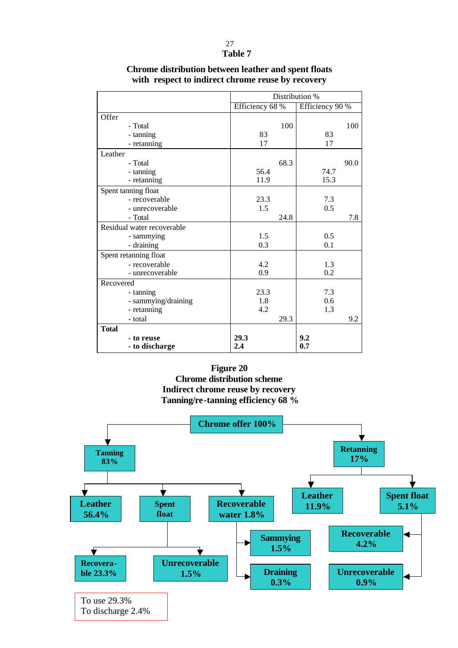#### 27 **Table 7**

|                            | Distribution %  |                 |  |
|----------------------------|-----------------|-----------------|--|
|                            | Efficiency 68 % | Efficiency 90 % |  |
| Offer                      |                 |                 |  |
| - Total                    | 100             | 100             |  |
| - tanning                  | 83              | 83              |  |
| - retanning                | 17              | 17              |  |
| Leather                    |                 |                 |  |
| - Total                    | 68.3            | 90.0            |  |
| - tanning                  | 56.4            | 74.7            |  |
| - retanning                | 11.9            | 15.3            |  |
| Spent tanning float        |                 |                 |  |
| - recoverable              | 23.3            | 7.3             |  |
| - unrecoverable            | 1.5             | 0.5             |  |
| - Total                    | 24.8            | 7.8             |  |
| Residual water recoverable |                 |                 |  |
| - sammying                 | 1.5             | 0.5             |  |
| - draining                 | 0.3             | 0.1             |  |
| Spent retanning float      |                 |                 |  |
| - recoverable              | 4.2             | 1.3             |  |
| - unrecoverable            | 0.9             | 0.2             |  |
| Recovered                  |                 |                 |  |
| - tanning                  | 23.3            | 7.3             |  |
| - sammying/draining        | 1.8             | 0.6             |  |
| - retanning                | 4.2             | 1.3             |  |
| - total                    | 29.3            | 9.2             |  |
| <b>Total</b>               |                 |                 |  |
| - to reuse                 | 29.3            | 9.2             |  |
| - to discharge             | 2.4             | 0.7             |  |

# **Chrome distribution between leather and spent floats with respect to indirect chrome reuse by recovery**

**Figure 20 Chrome distribution scheme Indirect chrome reuse by recovery Tanning/re-tanning efficiency 68 %**

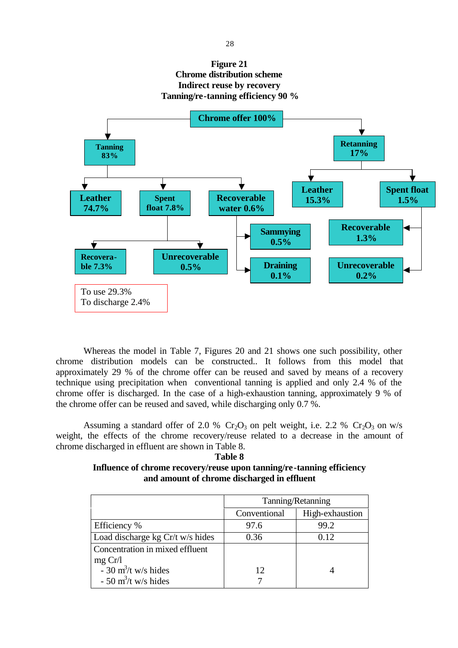# **Figure 21 Chrome distribution scheme Indirect reuse by recovery Tanning/re-tanning efficiency 90 %**



Whereas the model in Table 7, Figures 20 and 21 shows one such possibility, other chrome distribution models can be constructed.. It follows from this model that approximately 29 % of the chrome offer can be reused and saved by means of a recovery technique using precipitation when conventional tanning is applied and only 2.4 % of the chrome offer is discharged. In the case of a high-exhaustion tanning, approximately 9 % of the chrome offer can be reused and saved, while discharging only 0.7 %.

Assuming a standard offer of 2.0 %  $Cr_2O_3$  on pelt weight, i.e. 2.2 %  $Cr_2O_3$  on w/s weight, the effects of the chrome recovery/reuse related to a decrease in the amount of chrome discharged in effluent are shown in Table 8.

**Table 8**

### **Influence of chrome recovery/reuse upon tanning/re-tanning efficiency and amount of chrome discharged in effluent**

|                                            | Tanning/Retanning |                 |  |
|--------------------------------------------|-------------------|-----------------|--|
|                                            | Conventional      | High-exhaustion |  |
| Efficiency %                               | 97.6              | 99.2            |  |
| Load discharge kg Cr/t w/s hides           | 0.36              | 0.12            |  |
| Concentration in mixed effluent<br>mg Cr/l |                   |                 |  |
| $-30$ m <sup>3</sup> /t w/s hides          | 12                |                 |  |
| $-50$ m <sup>3</sup> /t w/s hides          |                   |                 |  |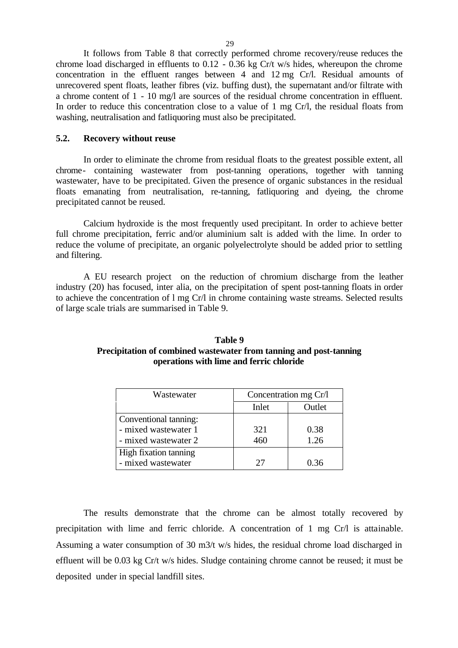It follows from Table 8 that correctly performed chrome recovery/reuse reduces the chrome load discharged in effluents to 0.12 - 0.36 kg Cr/t w/s hides, whereupon the chrome concentration in the effluent ranges between 4 and 12 mg Cr/l. Residual amounts of unrecovered spent floats, leather fibres (viz. buffing dust), the supernatant and/or filtrate with a chrome content of 1 - 10 mg/l are sources of the residual chrome concentration in effluent. In order to reduce this concentration close to a value of 1 mg Cr/l, the residual floats from washing, neutralisation and fatliquoring must also be precipitated.

#### **5.2. Recovery without reuse**

In order to eliminate the chrome from residual floats to the greatest possible extent, all chrome- containing wastewater from post-tanning operations, together with tanning wastewater, have to be precipitated. Given the presence of organic substances in the residual floats emanating from neutralisation, re-tanning, fatliquoring and dyeing, the chrome precipitated cannot be reused.

Calcium hydroxide is the most frequently used precipitant. In order to achieve better full chrome precipitation, ferric and/or aluminium salt is added with the lime. In order to reduce the volume of precipitate, an organic polyelectrolyte should be added prior to settling and filtering.

A EU research project on the reduction of chromium discharge from the leather industry (20) has focused, inter alia, on the precipitation of spent post-tanning floats in order to achieve the concentration of l mg Cr/l in chrome containing waste streams. Selected results of large scale trials are summarised in Table 9.

| Table 9                                                            |  |  |  |  |  |
|--------------------------------------------------------------------|--|--|--|--|--|
| Precipitation of combined wastewater from tanning and post-tanning |  |  |  |  |  |
| operations with lime and ferric chloride                           |  |  |  |  |  |

| Wastewater            | Concentration mg Cr/l |      |  |  |
|-----------------------|-----------------------|------|--|--|
|                       | Inlet<br>Outlet       |      |  |  |
| Conventional tanning: |                       |      |  |  |
| - mixed wastewater 1  | 321                   | 0.38 |  |  |
| - mixed wastewater 2  | 460                   | 1.26 |  |  |
| High fixation tanning |                       |      |  |  |
| - mixed wastewater    | 27                    | በ 36 |  |  |

The results demonstrate that the chrome can be almost totally recovered by precipitation with lime and ferric chloride. A concentration of 1 mg Cr/l is attainable. Assuming a water consumption of 30 m3/t w/s hides, the residual chrome load discharged in effluent will be 0.03 kg Cr/t w/s hides. Sludge containing chrome cannot be reused; it must be deposited under in special landfill sites.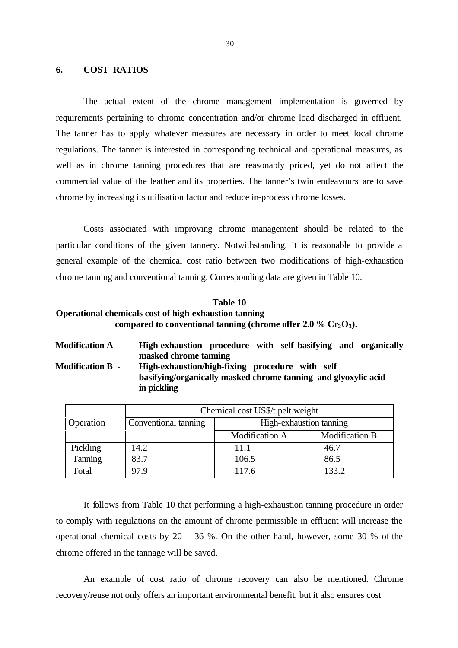#### **6. COST RATIOS**

The actual extent of the chrome management implementation is governed by requirements pertaining to chrome concentration and/or chrome load discharged in effluent. The tanner has to apply whatever measures are necessary in order to meet local chrome regulations. The tanner is interested in corresponding technical and operational measures, as well as in chrome tanning procedures that are reasonably priced, yet do not affect the commercial value of the leather and its properties. The tanner's twin endeavours are to save chrome by increasing its utilisation factor and reduce in-process chrome losses.

Costs associated with improving chrome management should be related to the particular conditions of the given tannery. Notwithstanding, it is reasonable to provide a general example of the chemical cost ratio between two modifications of high-exhaustion chrome tanning and conventional tanning. Corresponding data are given in Table 10.

# **Table 10 Operational chemicals cost of high-exhaustion tanning compared to conventional tanning (chrome offer 2.0 % Cr2O3).**

**Modification A - High-exhaustion procedure with self-basifying and organically masked chrome tanning Modification B - High-exhaustion/high-fixing procedure with self basifying/organically masked chrome tanning and glyoxylic acid in pickling**

|           | Chemical cost US\$/t pelt weight                |                       |                       |  |  |  |
|-----------|-------------------------------------------------|-----------------------|-----------------------|--|--|--|
| Operation | High-exhaustion tanning<br>Conventional tanning |                       |                       |  |  |  |
|           |                                                 | <b>Modification A</b> | <b>Modification B</b> |  |  |  |
| Pickling  | 14.2                                            | 11.1                  | 46.7                  |  |  |  |
| Tanning   | 83.7                                            | 106.5                 | 86.5                  |  |  |  |
| Total     | 97.9                                            | 117.6                 | 133.2                 |  |  |  |

It follows from Table 10 that performing a high-exhaustion tanning procedure in order to comply with regulations on the amount of chrome permissible in effluent will increase the operational chemical costs by 20 - 36 %. On the other hand, however, some 30 % of the chrome offered in the tannage will be saved.

An example of cost ratio of chrome recovery can also be mentioned. Chrome recovery/reuse not only offers an important environmental benefit, but it also ensures cost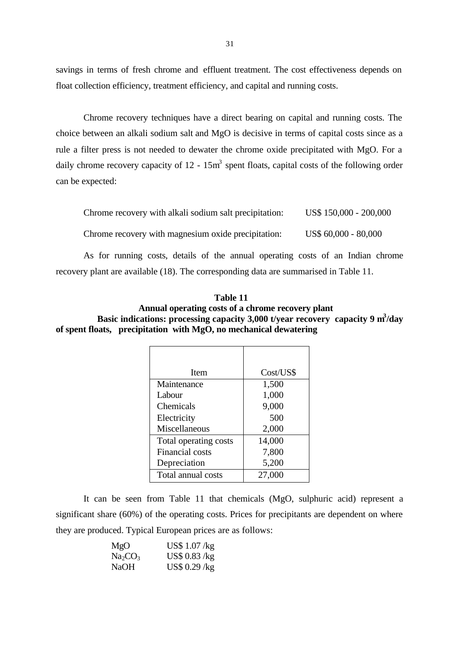savings in terms of fresh chrome and effluent treatment. The cost effectiveness depends on float collection efficiency, treatment efficiency, and capital and running costs.

Chrome recovery techniques have a direct bearing on capital and running costs. The choice between an alkali sodium salt and MgO is decisive in terms of capital costs since as a rule a filter press is not needed to dewater the chrome oxide precipitated with MgO. For a daily chrome recovery capacity of  $12 - 15m<sup>3</sup>$  spent floats, capital costs of the following order can be expected:

| Chrome recovery with alkali sodium salt precipitation: | US\$ 150,000 - 200,000 |
|--------------------------------------------------------|------------------------|
| Chrome recovery with magnesium oxide precipitation:    | US\$ 60,000 - 80,000   |

As for running costs, details of the annual operating costs of an Indian chrome recovery plant are available (18). The corresponding data are summarised in Table 11.

| Annual operating costs of a chrome recovery plant                                             |  |
|-----------------------------------------------------------------------------------------------|--|
| Basic indications: processing capacity $3,000$ t/year recovery capacity 9 m <sup>3</sup> /day |  |
| of spent floats, precipitation with MgO, no mechanical dewatering                             |  |
|                                                                                               |  |

**Table 11**

| <b>Item</b>            | Cost/US\$ |
|------------------------|-----------|
| Maintenance            | 1,500     |
| Labour                 | 1,000     |
| Chemicals              | 9,000     |
| Electricity            | 500       |
| Miscellaneous          | 2,000     |
| Total operating costs  | 14,000    |
| <b>Financial</b> costs | 7,800     |
| Depreciation           | 5,200     |
| Total annual costs     | 27,000    |

It can be seen from Table 11 that chemicals (MgO, sulphuric acid) represent a significant share (60%) of the operating costs. Prices for precipitants are dependent on where they are produced. Typical European prices are as follows:

| MgO                             | US\$ $1.07$ /kg |
|---------------------------------|-----------------|
| Na <sub>2</sub> CO <sub>3</sub> | US\$ $0.83$ /kg |
| NaOH                            | US\$ $0.29$ /kg |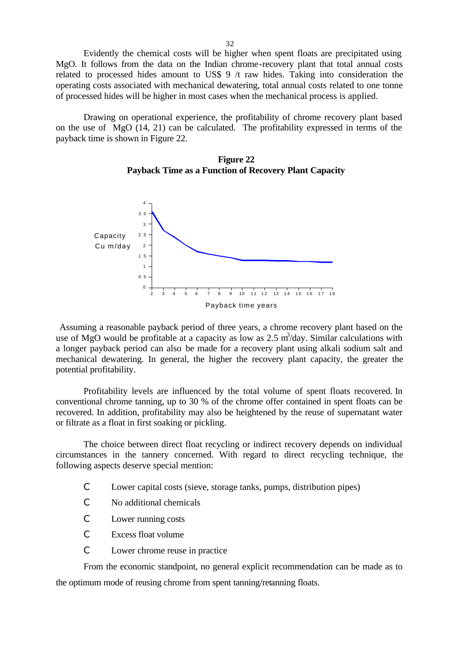Evidently the chemical costs will be higher when spent floats are precipitated using MgO. It follows from the data on the Indian chrome-recovery plant that total annual costs related to processed hides amount to US\$ 9 /t raw hides. Taking into consideration the operating costs associated with mechanical dewatering, total annual costs related to one tonne of processed hides will be higher in most cases when the mechanical process is applied.

Drawing on operational experience, the profitability of chrome recovery plant based on the use of MgO (14, 21) can be calculated. The profitability expressed in terms of the payback time is shown in Figure 22.





Assuming a reasonable payback period of three years, a chrome recovery plant based on the use of MgO would be profitable at a capacity as low as  $2.5 \text{ m}^3$ /day. Similar calculations with a longer payback period can also be made for a recovery plant using alkali sodium salt and mechanical dewatering. In general, the higher the recovery plant capacity, the greater the potential profitability.

Profitability levels are influenced by the total volume of spent floats recovered. In conventional chrome tanning, up to 30 % of the chrome offer contained in spent floats can be recovered. In addition, profitability may also be heightened by the reuse of supernatant water or filtrate as a float in first soaking or pickling.

The choice between direct float recycling or indirect recovery depends on individual circumstances in the tannery concerned. With regard to direct recycling technique, the following aspects deserve special mention:

- C Lower capital costs (sieve, storage tanks, pumps, distribution pipes)
- C No additional chemicals
- C Lower running costs
- C Excess float volume
- C Lower chrome reuse in practice

From the economic standpoint, no general explicit recommendation can be made as to the optimum mode of reusing chrome from spent tanning/retanning floats.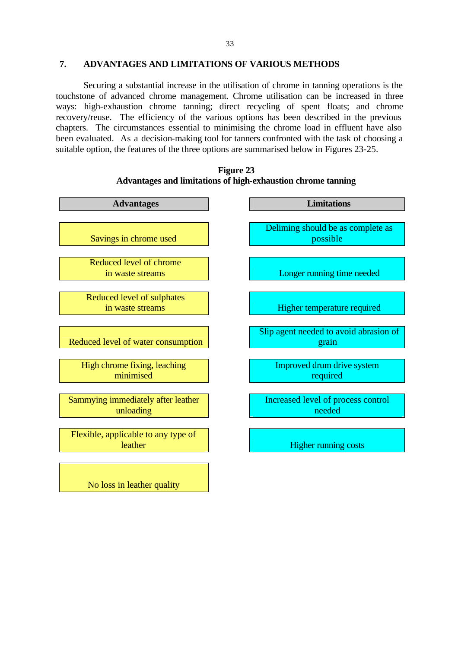### **7. ADVANTAGES AND LIMITATIONS OF VARIOUS METHODS**

Securing a substantial increase in the utilisation of chrome in tanning operations is the touchstone of advanced chrome management. Chrome utilisation can be increased in three ways: high-exhaustion chrome tanning; direct recycling of spent floats; and chrome recovery/reuse. The efficiency of the various options has been described in the previous chapters. The circumstances essential to minimising the chrome load in effluent have also been evaluated. As a decision-making tool for tanners confronted with the task of choosing a suitable option, the features of the three options are summarised below in Figures 23-25.



**Figure 23 Advantages and limitations of high-exhaustion chrome tanning**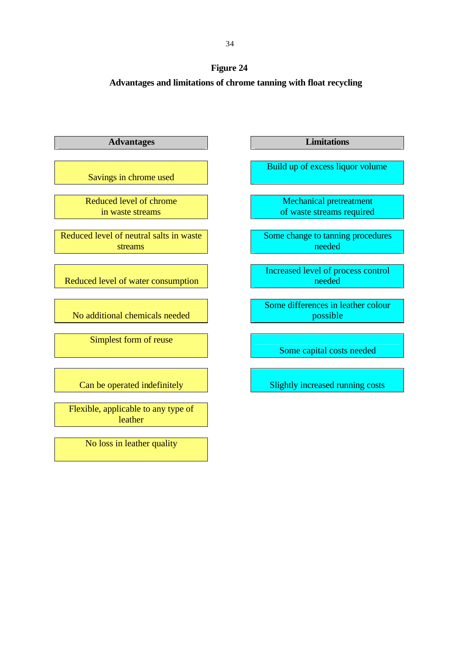

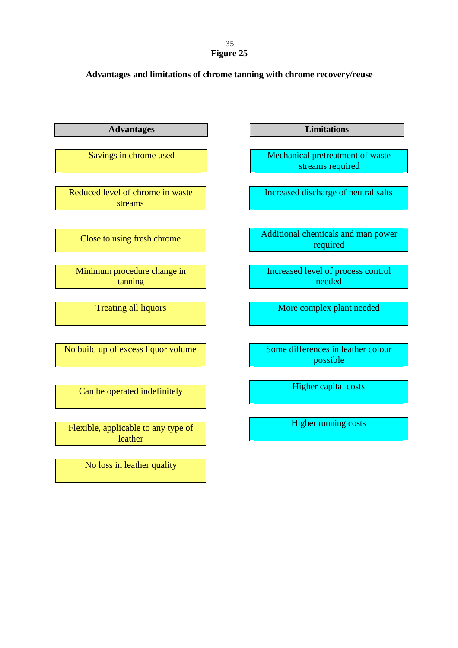# 35 **Figure 25**

# **Advantages and limitations of chrome tanning with chrome recovery/reuse**

| <b>Advantages</b>                              | <b>Limitations</b>                                   |
|------------------------------------------------|------------------------------------------------------|
| Savings in chrome used                         | Mechanical pretreatment of waste<br>streams required |
| Reduced level of chrome in waste<br>streams    | Increased discharge of neutral salts                 |
| Close to using fresh chrome                    | Additional chemicals and man power<br>required       |
| Minimum procedure change in<br>tanning         | Increased level of process control<br>needed         |
| <b>Treating all liquors</b>                    | More complex plant needed                            |
| No build up of excess liquor volume            | Some differences in leather colour<br>possible       |
| Can be operated indefinitely                   | <b>Higher capital costs</b>                          |
| Flexible, applicable to any type of<br>leather | <b>Higher running costs</b>                          |
| No loss in leather quality                     |                                                      |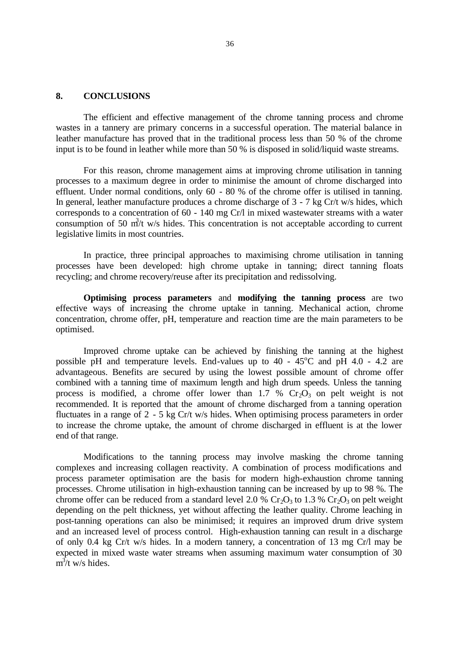#### **8. CONCLUSIONS**

The efficient and effective management of the chrome tanning process and chrome wastes in a tannery are primary concerns in a successful operation. The material balance in leather manufacture has proved that in the traditional process less than 50 % of the chrome input is to be found in leather while more than 50 % is disposed in solid/liquid waste streams.

For this reason, chrome management aims at improving chrome utilisation in tanning processes to a maximum degree in order to minimise the amount of chrome discharged into effluent. Under normal conditions, only 60 - 80 % of the chrome offer is utilised in tanning. In general, leather manufacture produces a chrome discharge of 3 - 7 kg Cr/t w/s hides, which corresponds to a concentration of 60 - 140 mg Cr/l in mixed wastewater streams with a water consumption of 50  $m<sup>3</sup>/t$  w/s hides. This concentration is not acceptable according to current legislative limits in most countries.

In practice, three principal approaches to maximising chrome utilisation in tanning processes have been developed: high chrome uptake in tanning; direct tanning floats recycling; and chrome recovery/reuse after its precipitation and redissolving.

**Optimising process parameters** and **modifying the tanning process** are two effective ways of increasing the chrome uptake in tanning. Mechanical action, chrome concentration, chrome offer, pH, temperature and reaction time are the main parameters to be optimised.

Improved chrome uptake can be achieved by finishing the tanning at the highest possible pH and temperature levels. End-values up to  $40 - 45^{\circ}\text{C}$  and pH 4.0 - 4.2 are advantageous. Benefits are secured by using the lowest possible amount of chrome offer combined with a tanning time of maximum length and high drum speeds. Unless the tanning process is modified, a chrome offer lower than 1.7 %  $Cr_2O_3$  on pelt weight is not recommended. It is reported that the amount of chrome discharged from a tanning operation fluctuates in a range of 2 - 5 kg Cr/t w/s hides. When optimising process parameters in order to increase the chrome uptake, the amount of chrome discharged in effluent is at the lower end of that range.

Modifications to the tanning process may involve masking the chrome tanning complexes and increasing collagen reactivity. A combination of process modifications and process parameter optimisation are the basis for modern high-exhaustion chrome tanning processes. Chrome utilisation in high-exhaustion tanning can be increased by up to 98 %. The chrome offer can be reduced from a standard level 2.0 %  $Cr_2O_3$  to 1.3 %  $Cr_2O_3$  on pelt weight depending on the pelt thickness, yet without affecting the leather quality. Chrome leaching in post-tanning operations can also be minimised; it requires an improved drum drive system and an increased level of process control. High-exhaustion tanning can result in a discharge of only 0.4 kg Cr/t w/s hides. In a modern tannery, a concentration of 13 mg Cr/l may be expected in mixed waste water streams when assuming maximum water consumption of 30  $m^3$ /t w/s hides.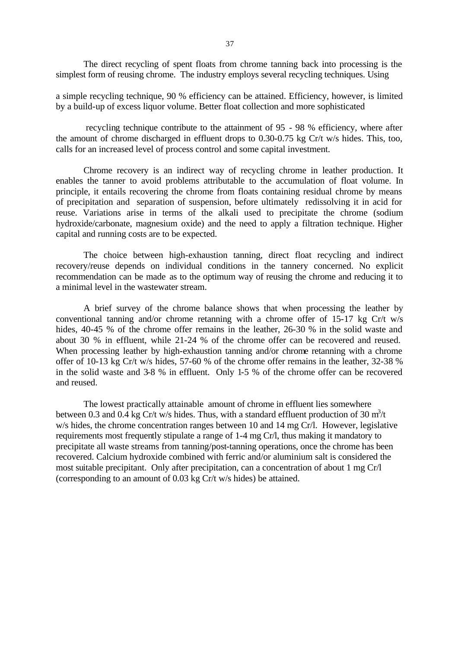The direct recycling of spent floats from chrome tanning back into processing is the simplest form of reusing chrome. The industry employs several recycling techniques. Using

a simple recycling technique, 90 % efficiency can be attained. Efficiency, however, is limited by a build-up of excess liquor volume. Better float collection and more sophisticated

 recycling technique contribute to the attainment of 95 - 98 % efficiency, where after the amount of chrome discharged in effluent drops to 0.30-0.75 kg Cr/t w/s hides. This, too, calls for an increased level of process control and some capital investment.

Chrome recovery is an indirect way of recycling chrome in leather production. It enables the tanner to avoid problems attributable to the accumulation of float volume. In principle, it entails recovering the chrome from floats containing residual chrome by means of precipitation and separation of suspension, before ultimately redissolving it in acid for reuse. Variations arise in terms of the alkali used to precipitate the chrome (sodium hydroxide/carbonate, magnesium oxide) and the need to apply a filtration technique. Higher capital and running costs are to be expected.

The choice between high-exhaustion tanning, direct float recycling and indirect recovery/reuse depends on individual conditions in the tannery concerned. No explicit recommendation can be made as to the optimum way of reusing the chrome and reducing it to a minimal level in the wastewater stream.

A brief survey of the chrome balance shows that when processing the leather by conventional tanning and/or chrome retanning with a chrome offer of 15-17 kg Cr/t w/s hides, 40-45 % of the chrome offer remains in the leather, 26-30 % in the solid waste and about 30 % in effluent, while 21-24 % of the chrome offer can be recovered and reused. When processing leather by high-exhaustion tanning and/or chrome retanning with a chrome offer of 10-13 kg Cr/t w/s hides, 57-60 % of the chrome offer remains in the leather, 32-38 % in the solid waste and 3-8 % in effluent. Only 1-5 % of the chrome offer can be recovered and reused.

The lowest practically attainable amount of chrome in effluent lies somewhere between 0.3 and 0.4 kg Cr/t w/s hides. Thus, with a standard effluent production of 30  $m^3/t$ w/s hides, the chrome concentration ranges between 10 and 14 mg Cr/l. However, legislative requirements most frequently stipulate a range of 1-4 mg Cr/l, thus making it mandatory to precipitate all waste streams from tanning/post-tanning operations, once the chrome has been recovered. Calcium hydroxide combined with ferric and/or aluminium salt is considered the most suitable precipitant. Only after precipitation, can a concentration of about 1 mg Cr/l (corresponding to an amount of 0.03 kg Cr/t w/s hides) be attained.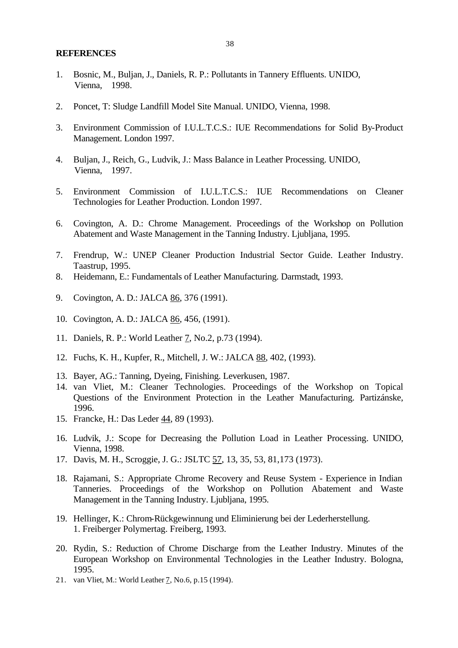#### **REFERENCES**

- 1. Bosnic, M., Buljan, J., Daniels, R. P.: Pollutants in Tannery Effluents. UNIDO, Vienna, 1998.
- 2. Poncet, T: Sludge Landfill Model Site Manual. UNIDO, Vienna, 1998.
- 3. Environment Commission of I.U.L.T.C.S.: IUE Recommendations for Solid By-Product Management. London 1997.
- 4. Buljan, J., Reich, G., Ludvik, J.: Mass Balance in Leather Processing. UNIDO, Vienna, 1997.
- 5. Environment Commission of I.U.L.T.C.S.: IUE Recommendations on Cleaner Technologies for Leather Production. London 1997.
- 6. Covington, A. D.: Chrome Management. Proceedings of the Workshop on Pollution Abatement and Waste Management in the Tanning Industry. Ljubljana, 1995.
- 7. Frendrup, W.: UNEP Cleaner Production Industrial Sector Guide. Leather Industry. Taastrup, 1995.
- 8. Heidemann, E.: Fundamentals of Leather Manufacturing. Darmstadt, 1993.
- 9. Covington, A. D.: JALCA 86, 376 (1991).
- 10. Covington, A. D.: JALCA 86, 456, (1991).
- 11. Daniels, R. P.: World Leather 7, No.2, p.73 (1994).
- 12. Fuchs, K. H., Kupfer, R., Mitchell, J. W.: JALCA 88, 402, (1993).
- 13. Bayer, AG.: Tanning, Dyeing, Finishing. Leverkusen, 1987.
- 14. van Vliet, M.: Cleaner Technologies. Proceedings of the Workshop on Topical Questions of the Environment Protection in the Leather Manufacturing. Partizánske, 1996.
- 15. Francke, H.: Das Leder 44, 89 (1993).
- 16. Ludvik, J.: Scope for Decreasing the Pollution Load in Leather Processing. UNIDO, Vienna, 1998.
- 17. Davis, M. H., Scroggie, J. G.: JSLTC 57, 13, 35, 53, 81,173 (1973).
- 18. Rajamani, S.: Appropriate Chrome Recovery and Reuse System Experience in Indian Tanneries. Proceedings of the Workshop on Pollution Abatement and Waste Management in the Tanning Industry. Ljubljana, 1995.
- 19. Hellinger, K.: Chrom-Rückgewinnung und Eliminierung bei der Lederherstellung. 1. Freiberger Polymertag. Freiberg, 1993.
- 20. Rydin, S.: Reduction of Chrome Discharge from the Leather Industry. Minutes of the European Workshop on Environmental Technologies in the Leather Industry. Bologna, 1995.
- 21. van Vliet, M.: World Leather 7, No.6, p.15 (1994).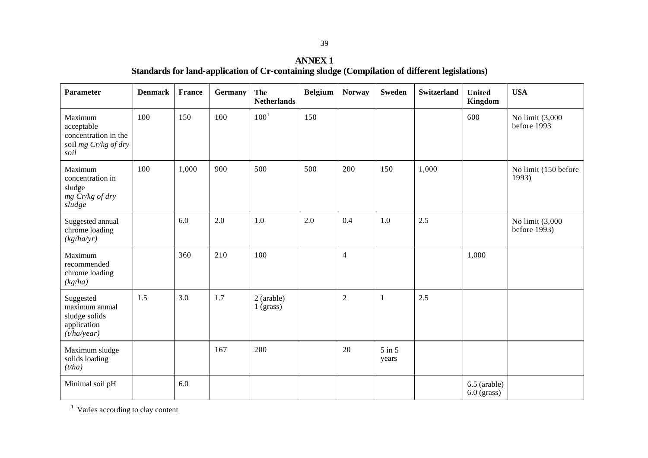| <b>Parameter</b>                                                              | <b>Denmark</b> | <b>France</b> | <b>Germany</b> | <b>The</b><br><b>Netherlands</b> | <b>Belgium</b> | <b>Norway</b>  | <b>Sweden</b>       | <b>Switzerland</b> | <b>United</b><br>Kingdom      | <b>USA</b>                      |
|-------------------------------------------------------------------------------|----------------|---------------|----------------|----------------------------------|----------------|----------------|---------------------|--------------------|-------------------------------|---------------------------------|
| Maximum<br>acceptable<br>concentration in the<br>soil mg Cr/kg of dry<br>soil | 100            | 150           | 100            | $100^{1}$                        | 150            |                |                     |                    | 600                           | No limit (3,000<br>before 1993  |
| Maximum<br>concentration in<br>sludge<br>mg Cr/kg of dry<br>sludge            | 100            | 1,000         | 900            | 500                              | 500            | 200            | 150                 | 1,000              |                               | No limit (150 before<br>1993)   |
| Suggested annual<br>chrome loading<br>(kg/ha/yr)                              |                | 6.0           | 2.0            | 1.0                              | 2.0            | 0.4            | 1.0                 | 2.5                |                               | No limit (3,000<br>before 1993) |
| Maximum<br>recommended<br>chrome loading<br>(kg/ha)                           |                | 360           | 210            | 100                              |                | $\overline{4}$ |                     |                    | 1,000                         |                                 |
| Suggested<br>maximum annual<br>sludge solids<br>application<br>(t/ha/year)    | 1.5            | 3.0           | 1.7            | 2 (arable)<br>1 (grass)          |                | $\overline{2}$ | $\mathbf{1}$        | 2.5                |                               |                                 |
| Maximum sludge<br>solids loading<br>(t/ha)                                    |                |               | 167            | 200                              |                | 20             | $5$ in $5$<br>years |                    |                               |                                 |
| Minimal soil pH                                                               |                | 6.0           |                |                                  |                |                |                     |                    | 6.5 (arable)<br>$6.0$ (grass) |                                 |

<sup>1</sup> Varies according to clay content